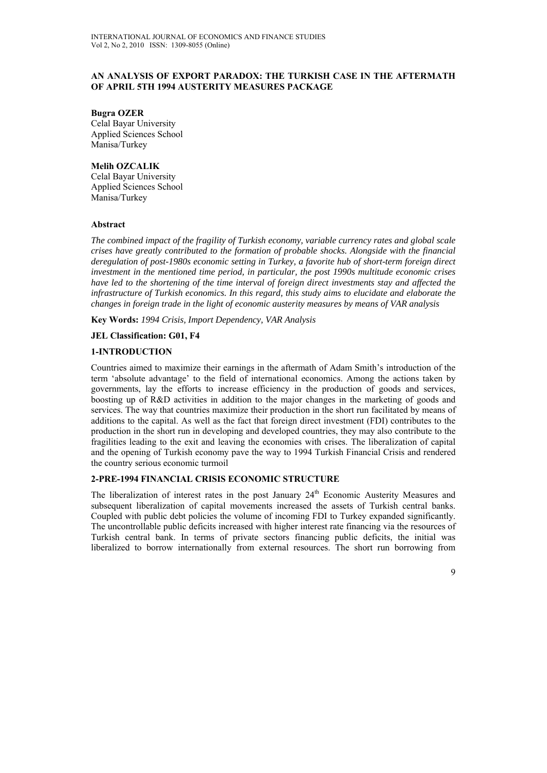### **AN ANALYSIS OF EXPORT PARADOX: THE TURKISH CASE IN THE AFTERMATH OF APRIL 5TH 1994 AUSTERITY MEASURES PACKAGE**

#### **Bugra OZER**

Celal Bayar University Applied Sciences School Manisa/Turkey

## **Melih OZCALIK**

Celal Bayar University Applied Sciences School Manisa/Turkey

#### **Abstract**

*The combined impact of the fragility of Turkish economy, variable currency rates and global scale crises have greatly contributed to the formation of probable shocks. Alongside with the financial deregulation of post-1980s economic setting in Turkey, a favorite hub of short-term foreign direct investment in the mentioned time period, in particular, the post 1990s multitude economic crises have led to the shortening of the time interval of foreign direct investments stay and affected the infrastructure of Turkish economics. In this regard, this study aims to elucidate and elaborate the changes in foreign trade in the light of economic austerity measures by means of VAR analysis* 

**Key Words:** *1994 Crisis, Import Dependency, VAR Analysis* 

### **JEL Classification: G01, F4**

#### **1-INTRODUCTION**

Countries aimed to maximize their earnings in the aftermath of Adam Smith's introduction of the term 'absolute advantage' to the field of international economics. Among the actions taken by governments, lay the efforts to increase efficiency in the production of goods and services, boosting up of R&D activities in addition to the major changes in the marketing of goods and services. The way that countries maximize their production in the short run facilitated by means of additions to the capital. As well as the fact that foreign direct investment (FDI) contributes to the production in the short run in developing and developed countries, they may also contribute to the fragilities leading to the exit and leaving the economies with crises. The liberalization of capital and the opening of Turkish economy pave the way to 1994 Turkish Financial Crisis and rendered the country serious economic turmoil

### **2-PRE-1994 FINANCIAL CRISIS ECONOMIC STRUCTURE**

The liberalization of interest rates in the post January 24<sup>th</sup> Economic Austerity Measures and subsequent liberalization of capital movements increased the assets of Turkish central banks. Coupled with public debt policies the volume of incoming FDI to Turkey expanded significantly. The uncontrollable public deficits increased with higher interest rate financing via the resources of Turkish central bank. In terms of private sectors financing public deficits, the initial was liberalized to borrow internationally from external resources. The short run borrowing from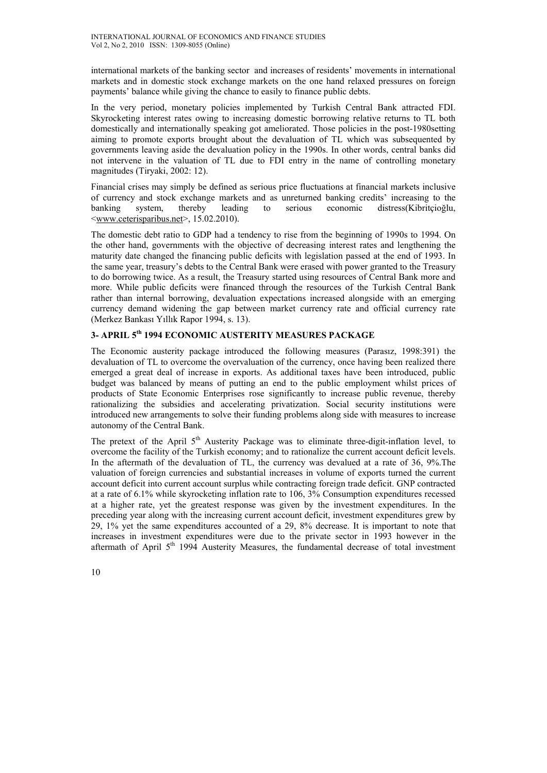international markets of the banking sector and increases of residents' movements in international markets and in domestic stock exchange markets on the one hand relaxed pressures on foreign payments' balance while giving the chance to easily to finance public debts.

In the very period, monetary policies implemented by Turkish Central Bank attracted FDI. Skyrocketing interest rates owing to increasing domestic borrowing relative returns to TL both domestically and internationally speaking got ameliorated. Those policies in the post-1980setting aiming to promote exports brought about the devaluation of TL which was subsequented by governments leaving aside the devaluation policy in the 1990s. In other words, central banks did not intervene in the valuation of TL due to FDI entry in the name of controlling monetary magnitudes (Tiryaki, 2002: 12).

Financial crises may simply be defined as serious price fluctuations at financial markets inclusive of currency and stock exchange markets and as unreturned banking credits' increasing to the banking system, thereby leading to serious economic distress(Kibritçioğlu, <www.ceterisparibus.net>, 15.02.2010).

The domestic debt ratio to GDP had a tendency to rise from the beginning of 1990s to 1994. On the other hand, governments with the objective of decreasing interest rates and lengthening the maturity date changed the financing public deficits with legislation passed at the end of 1993. In the same year, treasury's debts to the Central Bank were erased with power granted to the Treasury to do borrowing twice. As a result, the Treasury started using resources of Central Bank more and more. While public deficits were financed through the resources of the Turkish Central Bank rather than internal borrowing, devaluation expectations increased alongside with an emerging currency demand widening the gap between market currency rate and official currency rate (Merkez Bankası Yıllık Rapor 1994, s. 13).

# **3- APRIL 5th 1994 ECONOMIC AUSTERITY MEASURES PACKAGE**

The Economic austerity package introduced the following measures (Parasız, 1998:391) the devaluation of TL to overcome the overvaluation of the currency, once having been realized there emerged a great deal of increase in exports. As additional taxes have been introduced, public budget was balanced by means of putting an end to the public employment whilst prices of products of State Economic Enterprises rose significantly to increase public revenue, thereby rationalizing the subsidies and accelerating privatization. Social security institutions were introduced new arrangements to solve their funding problems along side with measures to increase autonomy of the Central Bank.

The pretext of the April  $5<sup>th</sup>$  Austerity Package was to eliminate three-digit-inflation level, to overcome the facility of the Turkish economy; and to rationalize the current account deficit levels. In the aftermath of the devaluation of TL, the currency was devalued at a rate of 36, 9%.The valuation of foreign currencies and substantial increases in volume of exports turned the current account deficit into current account surplus while contracting foreign trade deficit. GNP contracted at a rate of 6.1% while skyrocketing inflation rate to 106, 3% Consumption expenditures recessed at a higher rate, yet the greatest response was given by the investment expenditures. In the preceding year along with the increasing current account deficit, investment expenditures grew by 29, 1% yet the same expenditures accounted of a 29, 8% decrease. It is important to note that increases in investment expenditures were due to the private sector in 1993 however in the aftermath of April 5<sup>th</sup> 1994 Austerity Measures, the fundamental decrease of total investment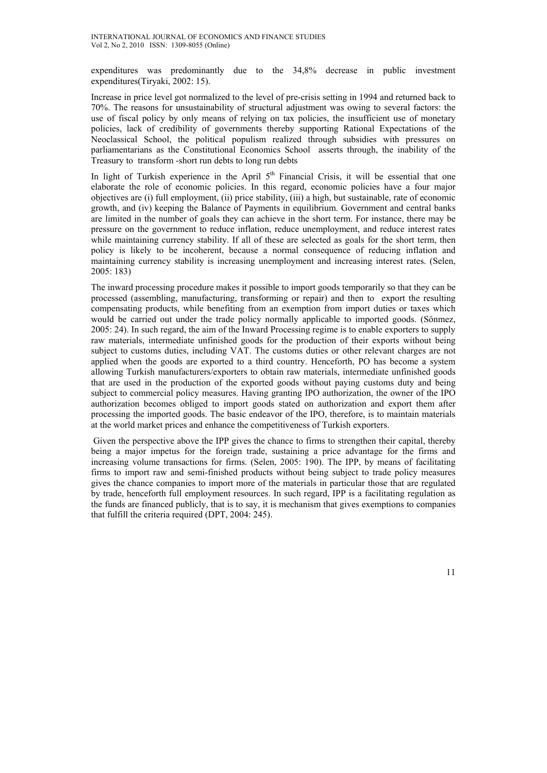expenditures was predominantly due to the 34,8% decrease in public investment expenditures(Tiryaki, 2002: 15).

Increase in price level got normalized to the level of pre-crisis setting in 1994 and returned back to 70%. The reasons for unsustainability of structural adjustment was owing to several factors: the use of fiscal policy by only means of relying on tax policies, the insufficient use of monetary policies, lack of credibility of governments thereby supporting Rational Expectations of the Neoclassical School, the political populism realized through subsidies with pressures on parliamentarians as the Constitutional Economics School asserts through, the inability of the Treasury to transform -short run debts to long run debts

In light of Turkish experience in the April  $5<sup>th</sup>$  Financial Crisis, it will be essential that one elaborate the role of economic policies. In this regard, economic policies have a four major objectives are (i) full employment, (ii) price stability, (iii) a high, but sustainable, rate of economic growth, and (iv) keeping the Balance of Payments in equilibrium. Government and central banks are limited in the number of goals they can achieve in the short term. For instance, there may be pressure on the government to reduce inflation, reduce unemployment, and reduce interest rates while maintaining currency stability. If all of these are selected as goals for the short term, then policy is likely to be incoherent, because a normal consequence of reducing inflation and maintaining currency stability is increasing unemployment and increasing interest rates. (Selen, 2005: 183)

The inward processing procedure makes it possible to import goods temporarily so that they can be processed (assembling, manufacturing, transforming or repair) and then to export the resulting compensating products, while benefiting from an exemption from import duties or taxes which would be carried out under the trade policy normally applicable to imported goods. (Sönmez, 2005: 24). In such regard, the aim of the Inward Processing regime is to enable exporters to supply raw materials, intermediate unfinished goods for the production of their exports without being subject to customs duties, including VAT. The customs duties or other relevant charges are not applied when the goods are exported to a third country. Henceforth, PO has become a system allowing Turkish manufacturers/exporters to obtain raw materials, intermediate unfinished goods that are used in the production of the exported goods without paying customs duty and being subject to commercial policy measures. Having granting IPO authorization, the owner of the IPO authorization becomes obliged to import goods stated on authorization and export them after processing the imported goods. The basic endeavor of the IPO, therefore, is to maintain materials at the world market prices and enhance the competitiveness of Turkish exporters.

 Given the perspective above the IPP gives the chance to firms to strengthen their capital, thereby being a major impetus for the foreign trade, sustaining a price advantage for the firms and increasing volume transactions for firms. (Selen, 2005: 190). The IPP, by means of facilitating firms to import raw and semi-finished products without being subject to trade policy measures gives the chance companies to import more of the materials in particular those that are regulated by trade, henceforth full employment resources. In such regard, IPP is a facilitating regulation as the funds are financed publicly, that is to say, it is mechanism that gives exemptions to companies that fulfill the criteria required (DPT, 2004: 245).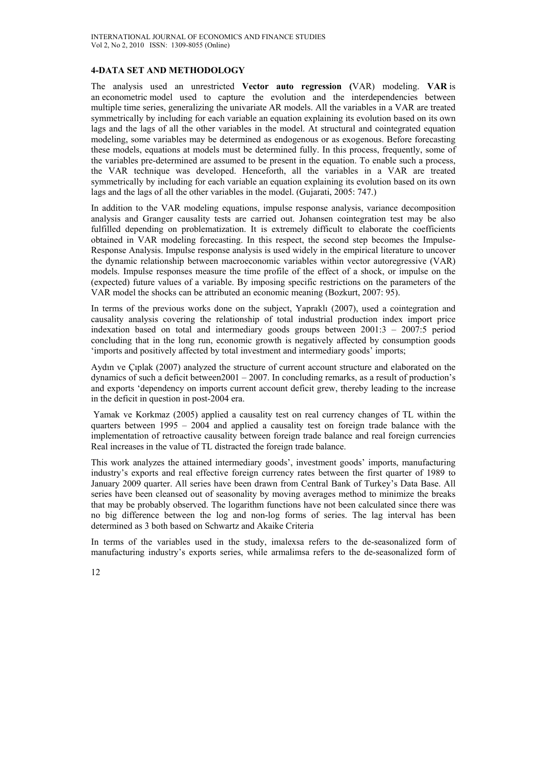#### **4-DATA SET AND METHODOLOGY**

The analysis used an unrestricted **Vector auto regression (**VAR) modeling. **VAR** is an econometric model used to capture the evolution and the interdependencies between multiple time series, generalizing the univariate AR models. All the variables in a VAR are treated symmetrically by including for each variable an equation explaining its evolution based on its own lags and the lags of all the other variables in the model. At structural and cointegrated equation modeling, some variables may be determined as endogenous or as exogenous. Before forecasting these models, equations at models must be determined fully. In this process, frequently, some of the variables pre-determined are assumed to be present in the equation. To enable such a process, the VAR technique was developed. Henceforth, all the variables in a VAR are treated symmetrically by including for each variable an equation explaining its evolution based on its own lags and the lags of all the other variables in the model. (Gujarati, 2005: 747.)

In addition to the VAR modeling equations, impulse response analysis, variance decomposition analysis and Granger causality tests are carried out. Johansen cointegration test may be also fulfilled depending on problematization. It is extremely difficult to elaborate the coefficients obtained in VAR modeling forecasting. In this respect, the second step becomes the Impulse-Response Analysis. Impulse response analysis is used widely in the empirical literature to uncover the dynamic relationship between macroeconomic variables within vector autoregressive (VAR) models. Impulse responses measure the time profile of the effect of a shock, or impulse on the (expected) future values of a variable. By imposing specific restrictions on the parameters of the VAR model the shocks can be attributed an economic meaning (Bozkurt, 2007: 95).

In terms of the previous works done on the subject, Yapraklı (2007), used a cointegration and causality analysis covering the relationship of total industrial production index import price indexation based on total and intermediary goods groups between 2001:3 – 2007:5 period concluding that in the long run, economic growth is negatively affected by consumption goods 'imports and positively affected by total investment and intermediary goods' imports;

Aydın ve Çıplak (2007) analyzed the structure of current account structure and elaborated on the dynamics of such a deficit between  $2001 - 2007$ . In concluding remarks, as a result of production's and exports 'dependency on imports current account deficit grew, thereby leading to the increase in the deficit in question in post-2004 era.

 Yamak ve Korkmaz (2005) applied a causality test on real currency changes of TL within the quarters between  $1995 - 2004$  and applied a causality test on foreign trade balance with the implementation of retroactive causality between foreign trade balance and real foreign currencies Real increases in the value of TL distracted the foreign trade balance.

This work analyzes the attained intermediary goods', investment goods' imports, manufacturing industry's exports and real effective foreign currency rates between the first quarter of 1989 to January 2009 quarter. All series have been drawn from Central Bank of Turkey's Data Base. All series have been cleansed out of seasonality by moving averages method to minimize the breaks that may be probably observed. The logarithm functions have not been calculated since there was no big difference between the log and non-log forms of series. The lag interval has been determined as 3 both based on Schwartz and Akaike Criteria

In terms of the variables used in the study, imalexsa refers to the de-seasonalized form of manufacturing industry's exports series, while armalimsa refers to the de-seasonalized form of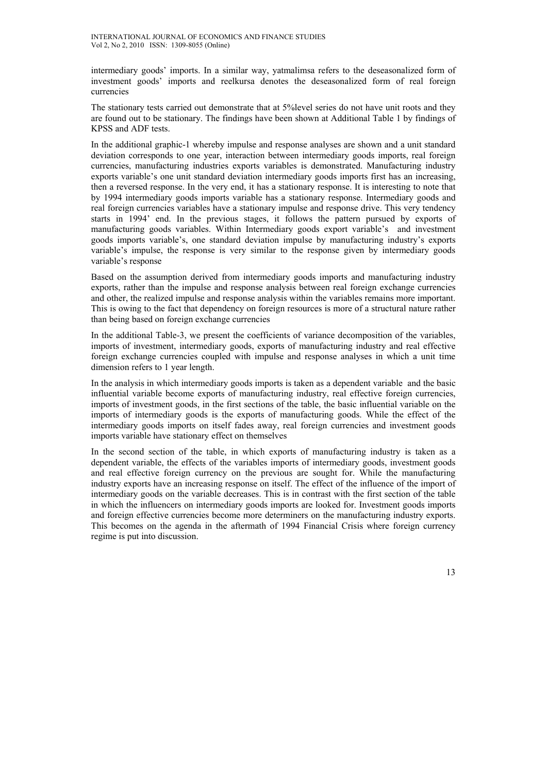intermediary goods' imports. In a similar way, yatmalimsa refers to the deseasonalized form of investment goods' imports and reelkursa denotes the deseasonalized form of real foreign currencies

The stationary tests carried out demonstrate that at 5%level series do not have unit roots and they are found out to be stationary. The findings have been shown at Additional Table 1 by findings of KPSS and ADF tests.

In the additional graphic-1 whereby impulse and response analyses are shown and a unit standard deviation corresponds to one year, interaction between intermediary goods imports, real foreign currencies, manufacturing industries exports variables is demonstrated. Manufacturing industry exports variable's one unit standard deviation intermediary goods imports first has an increasing, then a reversed response. In the very end, it has a stationary response. It is interesting to note that by 1994 intermediary goods imports variable has a stationary response. Intermediary goods and real foreign currencies variables have a stationary impulse and response drive. This very tendency starts in 1994' end. In the previous stages, it follows the pattern pursued by exports of manufacturing goods variables. Within Intermediary goods export variable's and investment goods imports variable's, one standard deviation impulse by manufacturing industry's exports variable's impulse, the response is very similar to the response given by intermediary goods variable's response

Based on the assumption derived from intermediary goods imports and manufacturing industry exports, rather than the impulse and response analysis between real foreign exchange currencies and other, the realized impulse and response analysis within the variables remains more important. This is owing to the fact that dependency on foreign resources is more of a structural nature rather than being based on foreign exchange currencies

In the additional Table-3, we present the coefficients of variance decomposition of the variables, imports of investment, intermediary goods, exports of manufacturing industry and real effective foreign exchange currencies coupled with impulse and response analyses in which a unit time dimension refers to 1 year length.

In the analysis in which intermediary goods imports is taken as a dependent variable and the basic influential variable become exports of manufacturing industry, real effective foreign currencies, imports of investment goods, in the first sections of the table, the basic influential variable on the imports of intermediary goods is the exports of manufacturing goods. While the effect of the intermediary goods imports on itself fades away, real foreign currencies and investment goods imports variable have stationary effect on themselves

In the second section of the table, in which exports of manufacturing industry is taken as a dependent variable, the effects of the variables imports of intermediary goods, investment goods and real effective foreign currency on the previous are sought for. While the manufacturing industry exports have an increasing response on itself. The effect of the influence of the import of intermediary goods on the variable decreases. This is in contrast with the first section of the table in which the influencers on intermediary goods imports are looked for. Investment goods imports and foreign effective currencies become more determiners on the manufacturing industry exports. This becomes on the agenda in the aftermath of 1994 Financial Crisis where foreign currency regime is put into discussion.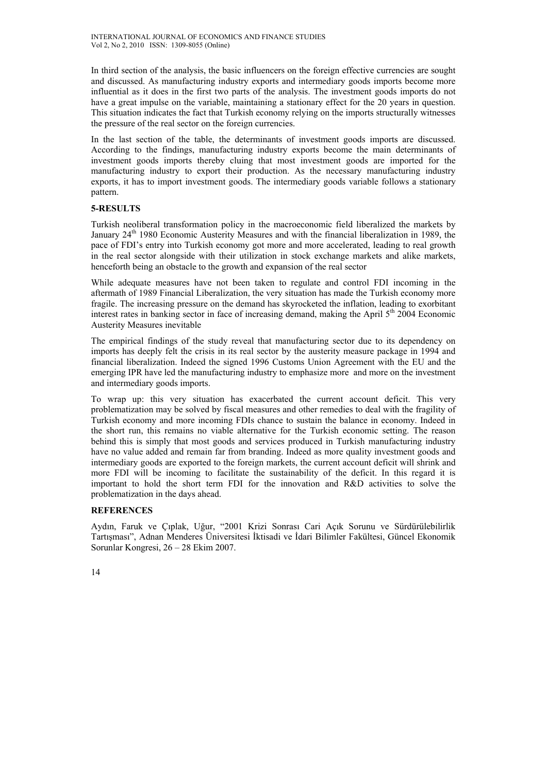In third section of the analysis, the basic influencers on the foreign effective currencies are sought and discussed. As manufacturing industry exports and intermediary goods imports become more influential as it does in the first two parts of the analysis. The investment goods imports do not have a great impulse on the variable, maintaining a stationary effect for the 20 years in question. This situation indicates the fact that Turkish economy relying on the imports structurally witnesses the pressure of the real sector on the foreign currencies.

In the last section of the table, the determinants of investment goods imports are discussed. According to the findings, manufacturing industry exports become the main determinants of investment goods imports thereby cluing that most investment goods are imported for the manufacturing industry to export their production. As the necessary manufacturing industry exports, it has to import investment goods. The intermediary goods variable follows a stationary pattern.

### **5-RESULTS**

Turkish neoliberal transformation policy in the macroeconomic field liberalized the markets by January  $24<sup>th</sup>$  1980 Economic Austerity Measures and with the financial liberalization in 1989, the pace of FDI's entry into Turkish economy got more and more accelerated, leading to real growth in the real sector alongside with their utilization in stock exchange markets and alike markets, henceforth being an obstacle to the growth and expansion of the real sector

While adequate measures have not been taken to regulate and control FDI incoming in the aftermath of 1989 Financial Liberalization, the very situation has made the Turkish economy more fragile. The increasing pressure on the demand has skyrocketed the inflation, leading to exorbitant interest rates in banking sector in face of increasing demand, making the April  $5<sup>th</sup>$  2004 Economic Austerity Measures inevitable

The empirical findings of the study reveal that manufacturing sector due to its dependency on imports has deeply felt the crisis in its real sector by the austerity measure package in 1994 and financial liberalization. Indeed the signed 1996 Customs Union Agreement with the EU and the emerging IPR have led the manufacturing industry to emphasize more and more on the investment and intermediary goods imports.

To wrap up: this very situation has exacerbated the current account deficit. This very problematization may be solved by fiscal measures and other remedies to deal with the fragility of Turkish economy and more incoming FDIs chance to sustain the balance in economy. Indeed in the short run, this remains no viable alternative for the Turkish economic setting. The reason behind this is simply that most goods and services produced in Turkish manufacturing industry have no value added and remain far from branding. Indeed as more quality investment goods and intermediary goods are exported to the foreign markets, the current account deficit will shrink and more FDI will be incoming to facilitate the sustainability of the deficit. In this regard it is important to hold the short term FDI for the innovation and R&D activities to solve the problematization in the days ahead.

#### **REFERENCES**

Aydın, Faruk ve Çıplak, Uğur, "2001 Krizi Sonrası Cari Açık Sorunu ve Sürdürülebilirlik Tartışması", Adnan Menderes Üniversitesi İktisadi ve İdari Bilimler Fakültesi, Güncel Ekonomik Sorunlar Kongresi, 26 – 28 Ekim 2007.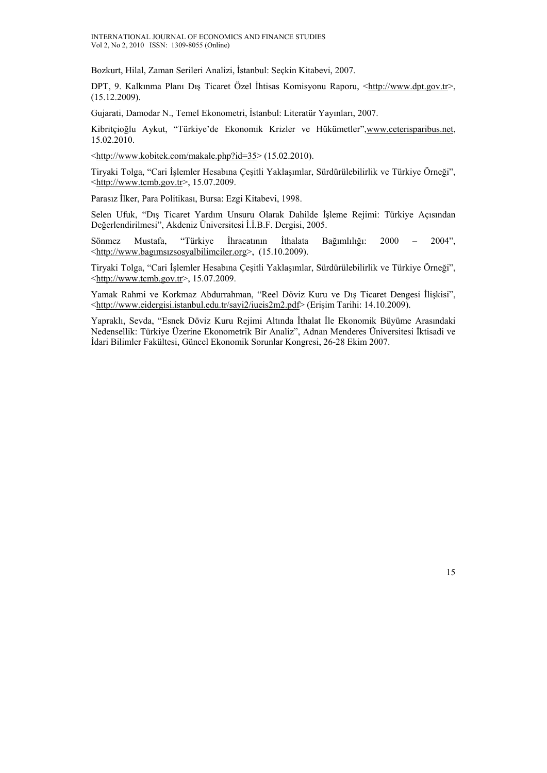Bozkurt, Hilal, Zaman Serileri Analizi, İstanbul: Seçkin Kitabevi, 2007.

DPT, 9. Kalkınma Planı Dış Ticaret Özel İhtisas Komisyonu Raporu, <http://www.dpt.gov.tr>, (15.12.2009).

Gujarati, Damodar N., Temel Ekonometri, İstanbul: Literatür Yayınları, 2007.

Kibritçioğlu Aykut, "Türkiye'de Ekonomik Krizler ve Hükümetler",www.ceterisparibus.net, 15.02.2010.

 $\frac{\text{th}}{\text{t}}/ \text{www.kobitek.com/makale.php?id=35}$  (15.02.2010).

Tiryaki Tolga, "Cari İşlemler Hesabına Çeşitli Yaklaşımlar, Sürdürülebilirlik ve Türkiye Örneği",  $\frac{\text{http://www.tcmb.gov.tr>}}{15.07.2009}$ .

Parasız İlker, Para Politikası, Bursa: Ezgi Kitabevi, 1998.

Selen Ufuk, "Dış Ticaret Yardım Unsuru Olarak Dahilde İşleme Rejimi: Türkiye Açısından Değerlendirilmesi", Akdeniz Üniversitesi İ.İ.B.F. Dergisi, 2005.

Sönmez Mustafa, "Türkiye İhracatının İthalata Bağımlılığı: 2000 – 2004", <http://www.bagımsızsosyalbilimciler.org>, (15.10.2009).

Tiryaki Tolga, "Cari İşlemler Hesabına Çeşitli Yaklaşımlar, Sürdürülebilirlik ve Türkiye Örneği",  $\frac{\text{th}}{\text{t}}$ /www.tcmb.gov.tr>, 15.07.2009.

Yamak Rahmi ve Korkmaz Abdurrahman, "Reel Döviz Kuru ve Dış Ticaret Dengesi İlişkisi", <http://www.eidergisi.istanbul.edu.tr/sayi2/iueis2m2.pdf> (Erişim Tarihi: 14.10.2009).

Yapraklı, Sevda, "Esnek Döviz Kuru Rejimi Altında İthalat İle Ekonomik Büyüme Arasındaki Nedensellik: Türkiye Üzerine Ekonometrik Bir Analiz", Adnan Menderes Üniversitesi İktisadi ve İdari Bilimler Fakültesi, Güncel Ekonomik Sorunlar Kongresi, 26-28 Ekim 2007.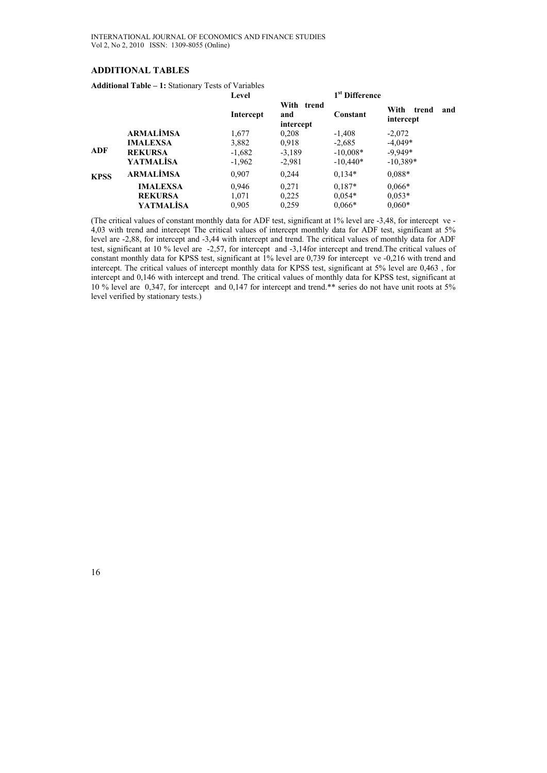### **ADDITIONAL TABLES**

**Additional Table – 1:** Stationary Tests of Variables

|             |                  | Level     |                                | 1 <sup>st</sup> Difference |                                   |  |
|-------------|------------------|-----------|--------------------------------|----------------------------|-----------------------------------|--|
|             |                  | Intercept | With trend<br>and<br>intercept | Constant                   | With<br>and<br>trend<br>intercept |  |
|             | <b>ARMALIMSA</b> | 1,677     | 0,208                          | $-1,408$                   | $-2,072$                          |  |
|             | <b>IMALEXSA</b>  | 3,882     | 0.918                          | $-2,685$                   | $-4.049*$                         |  |
| ADF         | <b>REKURSA</b>   | $-1,682$  | $-3,189$                       | $-10,008*$                 | $-9,949*$                         |  |
|             | <b>YATMALISA</b> | $-1,962$  | $-2,981$                       | $-10,440*$                 | $-10,389*$                        |  |
| <b>KPSS</b> | <b>ARMALIMSA</b> | 0.907     | 0,244                          | $0.134*$                   | $0.088*$                          |  |
|             | <b>IMALEXSA</b>  | 0,946     | 0.271                          | $0.187*$                   | $0.066*$                          |  |
|             | <b>REKURSA</b>   | 1,071     | 0,225                          | $0.054*$                   | $0.053*$                          |  |
|             | YATMALİSA        | 0.905     | 0,259                          | $0.066*$                   | $0.060*$                          |  |

(The critical values of constant monthly data for ADF test, significant at 1% level are -3,48, for intercept ve - 4,03 with trend and intercept The critical values of intercept monthly data for ADF test, significant at 5% level are -2,88, for intercept and -3,44 with intercept and trend. The critical values of monthly data for ADF test, significant at 10 % level are -2,57, for intercept and -3,14for intercept and trend.The critical values of constant monthly data for KPSS test, significant at 1% level are 0,739 for intercept ve -0,216 with trend and intercept. The critical values of intercept monthly data for KPSS test, significant at 5% level are 0,463 , for intercept and 0,146 with intercept and trend. The critical values of monthly data for KPSS test, significant at 10 % level are 0,347, for intercept and 0,147 for intercept and trend.\*\* series do not have unit roots at 5% level verified by stationary tests.)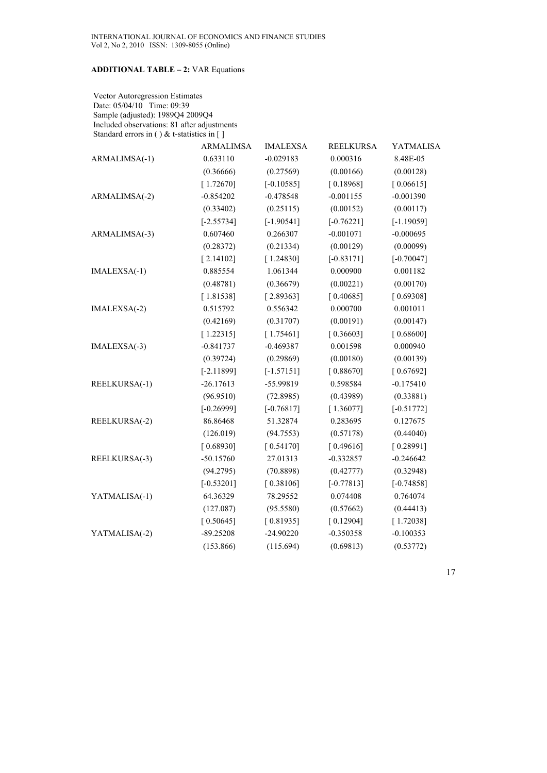### **ADDITIONAL TABLE – 2:** VAR Equations

 Vector Autoregression Estimates Date: 05/04/10 Time: 09:39 Sample (adjusted): 1989Q4 2009Q4 Included observations: 81 after adjustments Standard errors in ( ) & t-statistics in [ ]

|               | <b>ARMALIMSA</b> | <b>IMALEXSA</b> | <b>REELKURSA</b> | <b>YATMALISA</b> |
|---------------|------------------|-----------------|------------------|------------------|
| ARMALIMSA(-1) | 0.633110         | $-0.029183$     | 0.000316         | 8.48E-05         |
|               | (0.36666)        | (0.27569)       | (0.00166)        | (0.00128)        |
|               | [1.72670]        | $[-0.10585]$    | [0.18968]        | [0.06615]        |
| ARMALIMSA(-2) | $-0.854202$      | $-0.478548$     | $-0.001155$      | $-0.001390$      |
|               | (0.33402)        | (0.25115)       | (0.00152)        | (0.00117)        |
|               | $[-2.55734]$     | $[-1.90541]$    | $[-0.76221]$     | $[-1.19059]$     |
| ARMALIMSA(-3) | 0.607460         | 0.266307        | $-0.001071$      | $-0.000695$      |
|               | (0.28372)        | (0.21334)       | (0.00129)        | (0.00099)        |
|               | [2.14102]        | [1.24830]       | $[-0.83171]$     | $[-0.70047]$     |
| IMALEXSA(-1)  | 0.885554         | 1.061344        | 0.000900         | 0.001182         |
|               | (0.48781)        | (0.36679)       | (0.00221)        | (0.00170)        |
|               | [1.81538]        | [2.89363]       | [0.40685]        | [0.69308]        |
| IMALEXSA(-2)  | 0.515792         | 0.556342        | 0.000700         | 0.001011         |
|               | (0.42169)        | (0.31707)       | (0.00191)        | (0.00147)        |
|               | [1.22315]        | [1.75461]       | [0.36603]        | [0.68600]        |
| IMALEXSA(-3)  | $-0.841737$      | $-0.469387$     | 0.001598         | 0.000940         |
|               | (0.39724)        | (0.29869)       | (0.00180)        | (0.00139)        |
|               | $[-2.11899]$     | $[-1.57151]$    | [0.88670]        | [0.67692]        |
| REELKURSA(-1) | $-26.17613$      | -55.99819       | 0.598584         | $-0.175410$      |
|               | (96.9510)        | (72.8985)       | (0.43989)        | (0.33881)        |
|               | $[-0.26999]$     | $[-0.76817]$    | [1.36077]        | $[-0.51772]$     |
| REELKURSA(-2) | 86.86468         | 51.32874        | 0.283695         | 0.127675         |
|               | (126.019)        | (94.7553)       | (0.57178)        | (0.44040)        |
|               | [0.68930]        | [0.54170]       | [0.49616]        | [0.28991]        |
| REELKURSA(-3) | $-50.15760$      | 27.01313        | $-0.332857$      | $-0.246642$      |
|               | (94.2795)        | (70.8898)       | (0.42777)        | (0.32948)        |
|               | $[-0.53201]$     | [0.38106]       | $[-0.77813]$     | $[-0.74858]$     |
| YATMALISA(-1) | 64.36329         | 78.29552        | 0.074408         | 0.764074         |
|               | (127.087)        | (95.5580)       | (0.57662)        | (0.44413)        |
|               | [0.50645]        | [0.81935]       | [0.12904]        | [1.72038]        |
| YATMALISA(-2) | $-89.25208$      | $-24.90220$     | $-0.350358$      | $-0.100353$      |
|               | (153.866)        | (115.694)       | (0.69813)        | (0.53772)        |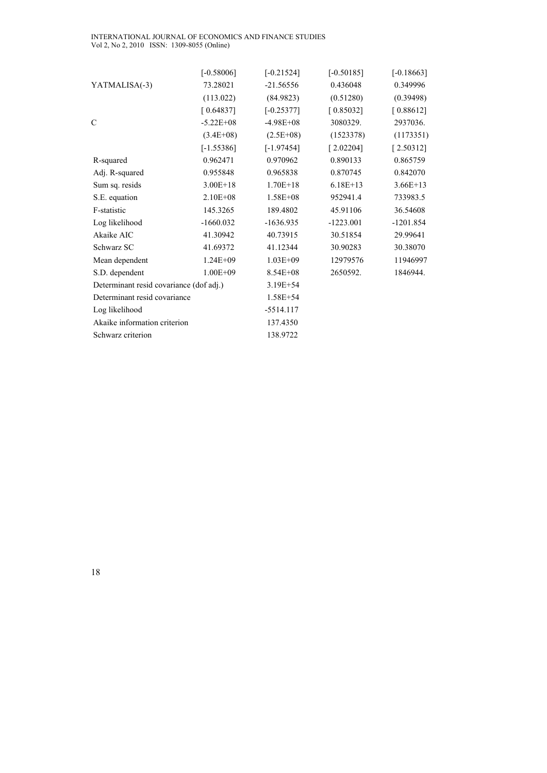#### INTERNATIONAL JOURNAL OF ECONOMICS AND FINANCE STUDIES Vol 2, No 2, 2010 ISSN: 1309-8055 (Online)

|                                         | $[-0.58006]$  | $[-0.21524]$ | $[-0.50185]$ | $[-0.18663]$ |
|-----------------------------------------|---------------|--------------|--------------|--------------|
| YATMALISA(-3)                           | 73.28021      | $-21.56556$  | 0.436048     | 0.349996     |
|                                         | (113.022)     | (84.9823)    | (0.51280)    | (0.39498)    |
|                                         | [0.64837]     | $[-0.25377]$ | [0.85032]    | [0.88612]    |
| C                                       | $-5.22E + 08$ | $-4.98E+08$  | 3080329.     | 2937036.     |
|                                         | $(3.4E+08)$   | $(2.5E+08)$  | (1523378)    | (1173351)    |
|                                         | $[-1.55386]$  | $[-1.97454]$ | [2.02204]    | [2.50312]    |
| R-squared                               | 0.962471      | 0.970962     | 0.890133     | 0.865759     |
| Adj. R-squared                          | 0.955848      | 0.965838     | 0.870745     | 0.842070     |
| Sum sq. resids                          | $3.00E + 18$  | $1.70E+18$   | $6.18E+13$   | $3.66E+13$   |
| S.E. equation                           | $2.10E + 08$  | $1.58E + 08$ | 952941.4     | 733983.5     |
| F-statistic                             | 145.3265      | 189.4802     | 45.91106     | 36.54608     |
| Log likelihood                          | $-1660.032$   | $-1636.935$  | $-1223.001$  | $-1201.854$  |
| Akaike AIC                              | 41.30942      | 40.73915     | 30.51854     | 29.99641     |
| Schwarz SC                              | 41.69372      | 41.12344     | 30.90283     | 30.38070     |
| Mean dependent                          | $1.24E + 09$  | $1.03E + 09$ | 12979576     | 11946997     |
| S.D. dependent                          | $1.00E + 09$  | $8.54E + 08$ | 2650592.     | 1846944.     |
| Determinant resid covariance (dof adj.) |               | 3.19E+54     |              |              |
| Determinant resid covariance            |               | $1.58E + 54$ |              |              |
| Log likelihood                          |               | $-5514.117$  |              |              |
| Akaike information criterion            |               | 137.4350     |              |              |
| Schwarz criterion                       |               | 138.9722     |              |              |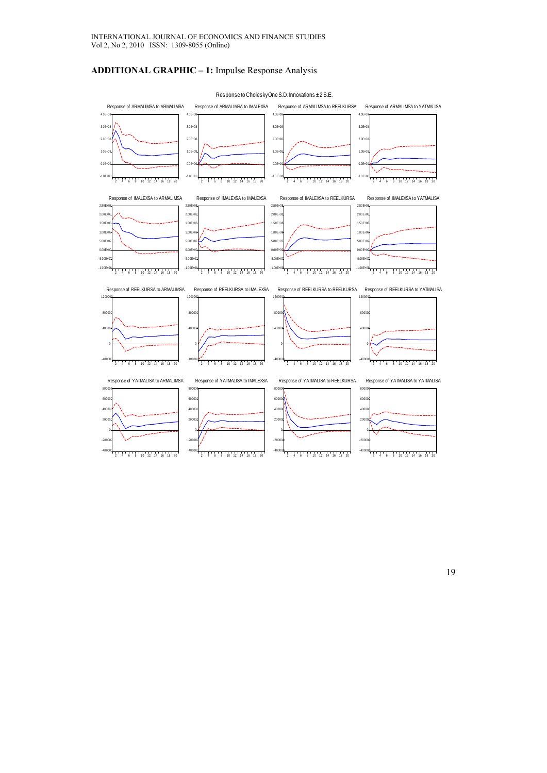## **ADDITIONAL GRAPHIC – 1:** Impulse Response Analysis



Response to Cholesky One S.D. Innovations ± 2 S.E.

19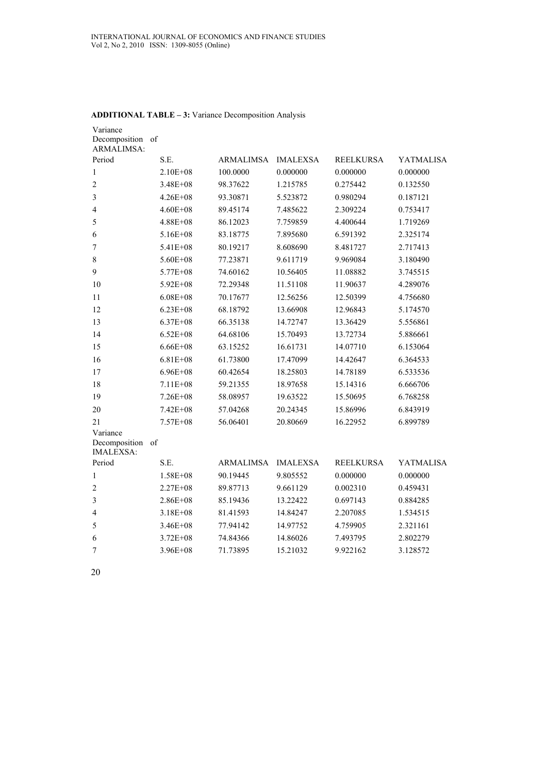| Variance<br>Decomposition                     | of           |                  |                 |                  |                  |
|-----------------------------------------------|--------------|------------------|-----------------|------------------|------------------|
| <b>ARMALIMSA:</b><br>Period                   | S.E.         | ARMALIMSA        | <b>IMALEXSA</b> | <b>REELKURSA</b> | YATMALISA        |
| $\mathbf{1}$                                  | $2.10E + 08$ | 100.0000         | 0.000000        | 0.000000         | 0.000000         |
| $\overline{2}$                                | 3.48E+08     | 98.37622         | 1.215785        | 0.275442         | 0.132550         |
| 3                                             | $4.26E + 08$ | 93.30871         | 5.523872        | 0.980294         | 0.187121         |
| 4                                             | $4.60E + 08$ | 89.45174         | 7.485622        | 2.309224         | 0.753417         |
| 5                                             | $4.88E + 08$ | 86.12023         | 7.759859        | 4.400644         | 1.719269         |
| 6                                             | $5.16E + 08$ | 83.18775         | 7.895680        | 6.591392         | 2.325174         |
| 7                                             | $5.41E + 08$ | 80.19217         | 8.608690        | 8.481727         | 2.717413         |
| 8                                             | $5.60E + 08$ | 77.23871         | 9.611719        | 9.969084         | 3.180490         |
| 9                                             | $5.77E + 08$ | 74.60162         | 10.56405        | 11.08882         | 3.745515         |
| 10                                            | 5.92E+08     | 72.29348         | 11.51108        | 11.90637         | 4.289076         |
| 11                                            | $6.08E + 08$ | 70.17677         | 12.56256        | 12.50399         | 4.756680         |
| 12                                            | $6.23E + 08$ | 68.18792         | 13.66908        | 12.96843         | 5.174570         |
| 13                                            | $6.37E + 08$ | 66.35138         | 14.72747        | 13.36429         | 5.556861         |
| 14                                            | $6.52E + 08$ | 64.68106         | 15.70493        | 13.72734         | 5.886661         |
| 15                                            | $6.66E + 08$ | 63.15252         | 16.61731        | 14.07710         | 6.153064         |
| 16                                            | $6.81E + 08$ | 61.73800         | 17.47099        | 14.42647         | 6.364533         |
| 17                                            | $6.96E + 08$ | 60.42654         | 18.25803        | 14.78189         | 6.533536         |
| 18                                            | $7.11E + 08$ | 59.21355         | 18.97658        | 15.14316         | 6.666706         |
| 19                                            | $7.26E + 08$ | 58.08957         | 19.63522        | 15.50695         | 6.768258         |
| 20                                            | 7.42E+08     | 57.04268         | 20.24345        | 15.86996         | 6.843919         |
| 21                                            | $7.57E + 08$ | 56.06401         | 20.80669        | 16.22952         | 6.899789         |
| Variance<br>Decomposition<br><b>IMALEXSA:</b> | of           |                  |                 |                  |                  |
| Period                                        | S.E.         | <b>ARMALIMSA</b> | <b>IMALEXSA</b> | <b>REELKURSA</b> | <b>YATMALISA</b> |
| 1                                             | $1.58E + 08$ | 90.19445         | 9.805552        | 0.000000         | 0.000000         |
| $\overline{2}$                                | $2.27E + 08$ | 89.87713         | 9.661129        | 0.002310         | 0.459431         |
| 3                                             | $2.86E + 08$ | 85.19436         | 13.22422        | 0.697143         | 0.884285         |
| 4                                             | $3.18E + 08$ | 81.41593         | 14.84247        | 2.207085         | 1.534515         |
| 5                                             | $3.46E + 08$ | 77.94142         | 14.97752        | 4.759905         | 2.321161         |
| 6                                             | $3.72E + 08$ | 74.84366         | 14.86026        | 7.493795         | 2.802279         |
| 7                                             | $3.96E + 08$ | 71.73895         | 15.21032        | 9.922162         | 3.128572         |
|                                               |              |                  |                 |                  |                  |

### **ADDITIONAL TABLE – 3:** Variance Decomposition Analysis

20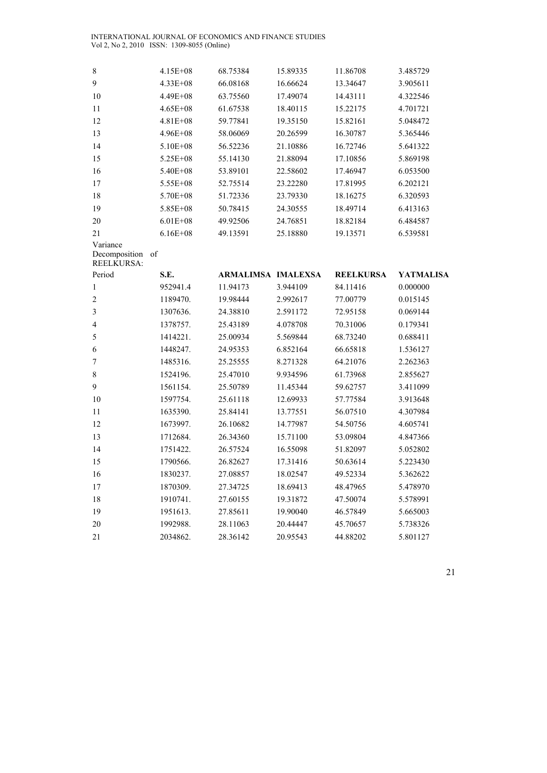INTERNATIONAL JOURNAL OF ECONOMICS AND FINANCE STUDIES Vol 2, No 2, 2010 ISSN: 1309-8055 (Online)

| 8                                              | $4.15E + 08$  | 68.75384           | 15.89335 | 11.86708         | 3.485729  |
|------------------------------------------------|---------------|--------------------|----------|------------------|-----------|
| 9                                              | 4.33E+08      | 66.08168           | 16.66624 | 13.34647         | 3.905611  |
| 10                                             | 4.49E+08      | 63.75560           | 17.49074 | 14.43111         | 4.322546  |
| 11                                             | $4.65E + 08$  | 61.67538           | 18.40115 | 15.22175         | 4.701721  |
| 12                                             | 4.81E+08      | 59.77841           | 19.35150 | 15.82161         | 5.048472  |
| 13                                             | $4.96E + 08$  | 58.06069           | 20.26599 | 16.30787         | 5.365446  |
| 14                                             | 5.10E+08      | 56.52236           | 21.10886 | 16.72746         | 5.641322  |
| 15                                             | 5.25E+08      | 55.14130           | 21.88094 | 17.10856         | 5.869198  |
| 16                                             | 5.40E+08      | 53.89101           | 22.58602 | 17.46947         | 6.053500  |
| 17                                             | $5.55E + 08$  | 52.75514           | 23.22280 | 17.81995         | 6.202121  |
| 18                                             | 5.70E+08      | 51.72336           | 23.79330 | 18.16275         | 6.320593  |
| 19                                             | 5.85E+08      | 50.78415           | 24.30555 | 18.49714         | 6.413163  |
| 20                                             | $6.01E + 08$  | 49.92506           | 24.76851 | 18.82184         | 6.484587  |
| 21                                             | $6.16E + 08$  | 49.13591           | 25.18880 | 19.13571         | 6.539581  |
| Variance<br>Decomposition<br><b>REELKURSA:</b> | <sub>of</sub> |                    |          |                  |           |
| Period                                         | S.E.          | ARMALIMSA IMALEXSA |          | <b>REELKURSA</b> | YATMALISA |
| 1                                              | 952941.4      | 11.94173           | 3.944109 | 84.11416         | 0.000000  |
| $\overline{2}$                                 | 1189470.      | 19.98444           | 2.992617 | 77.00779         | 0.015145  |
| $\overline{\mathbf{3}}$                        | 1307636.      | 24.38810           | 2.591172 | 72.95158         | 0.069144  |
| 4                                              | 1378757.      | 25.43189           | 4.078708 | 70.31006         | 0.179341  |
| 5                                              | 1414221.      | 25.00934           | 5.569844 | 68.73240         | 0.688411  |
| $\sqrt{6}$                                     | 1448247.      | 24.95353           | 6.852164 | 66.65818         | 1.536127  |
| $\sqrt{ }$                                     | 1485316.      | 25.25555           | 8.271328 | 64.21076         | 2.262363  |
| $\,$ $\,$                                      | 1524196.      | 25.47010           | 9.934596 | 61.73968         | 2.855627  |
| 9                                              | 1561154.      | 25.50789           | 11.45344 | 59.62757         | 3.411099  |
| 10                                             | 1597754.      | 25.61118           | 12.69933 | 57.77584         | 3.913648  |
| 11                                             | 1635390.      | 25.84141           | 13.77551 | 56.07510         | 4.307984  |
| 12                                             | 1673997.      | 26.10682           | 14.77987 | 54.50756         | 4.605741  |
| 13                                             | 1712684.      | 26.34360           | 15.71100 | 53.09804         | 4.847366  |
| 14                                             | 1751422.      | 26.57524           | 16.55098 | 51.82097         | 5.052802  |
| 15                                             | 1790566.      | 26.82627           | 17.31416 | 50.63614         | 5.223430  |
| 16                                             | 1830237.      | 27.08857           | 18.02547 | 49.52334         | 5.362622  |
| 17                                             | 1870309.      | 27.34725           | 18.69413 | 48.47965         | 5.478970  |
| 18                                             | 1910741.      | 27.60155           | 19.31872 | 47.50074         | 5.578991  |
| 19                                             | 1951613.      | 27.85611           | 19.90040 | 46.57849         | 5.665003  |
| 20                                             | 1992988.      | 28.11063           | 20.44447 | 45.70657         | 5.738326  |
| 21                                             | 2034862.      | 28.36142           | 20.95543 | 44.88202         | 5.801127  |